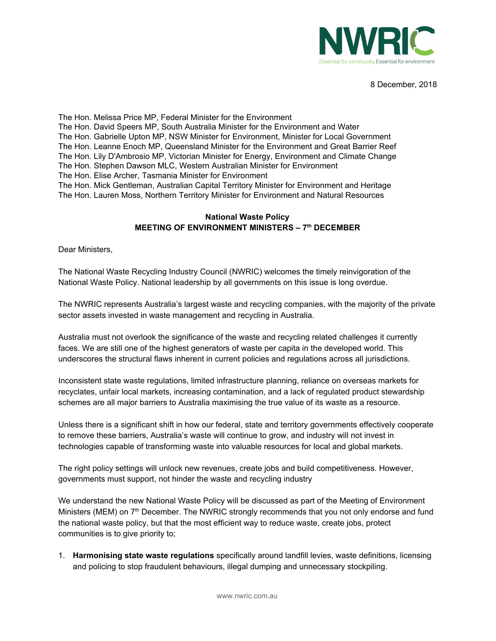

8 December, 2018

The Hon. Melissa Price MP, Federal Minister for the Environment The Hon. David Speers MP, South Australia Minister for the Environment and Water The Hon. Gabrielle Upton MP, NSW Minister for Environment, Minister for Local Government The Hon. Leanne Enoch MP, Queensland Minister for the Environment and Great Barrier Reef The Hon. Lily D'Ambrosio MP, Victorian Minister for Energy, Environment and Climate Change The Hon. Stephen Dawson MLC, Western Australian Minister for Environment The Hon. Elise Archer, Tasmania Minister for Environment The Hon. Mick Gentleman, Australian Capital Territory Minister for Environment and Heritage The Hon. Lauren Moss, Northern Territory Minister for Environment and Natural Resources

## **National Waste Policy MEETING OF ENVIRONMENT MINISTERS – 7 th DECEMBER**

Dear Ministers,

The National Waste Recycling Industry Council (NWRIC) welcomes the timely reinvigoration of the National Waste Policy. National leadership by all governments on this issue is long overdue.

The NWRIC represents Australia's largest waste and recycling companies, with the majority of the private sector assets invested in waste management and recycling in Australia.

Australia must not overlook the significance of the waste and recycling related challenges it currently faces. We are still one of the highest generators of waste per capita in the developed world. This underscores the structural flaws inherent in current policies and regulations across all jurisdictions.

Inconsistent state waste regulations, limited infrastructure planning, reliance on overseas markets for recyclates, unfair local markets, increasing contamination, and a lack of regulated product stewardship schemes are all major barriers to Australia maximising the true value of its waste as a resource.

Unless there is a significant shift in how our federal, state and territory governments effectively cooperate to remove these barriers, Australia's waste will continue to grow, and industry will not invest in technologies capable of transforming waste into valuable resources for local and global markets.

The right policy settings will unlock new revenues, create jobs and build competitiveness. However, governments must support, not hinder the waste and recycling industry

We understand the new National Waste Policy will be discussed as part of the Meeting of Environment Ministers (MEM) on 7<sup>th</sup> December. The NWRIC strongly recommends that you not only endorse and fund the national waste policy, but that the most efficient way to reduce waste, create jobs, protect communities is to give priority to;

1. **Harmonising state waste regulations** specifically around landfill levies, waste definitions, licensing and policing to stop fraudulent behaviours, illegal dumping and unnecessary stockpiling.